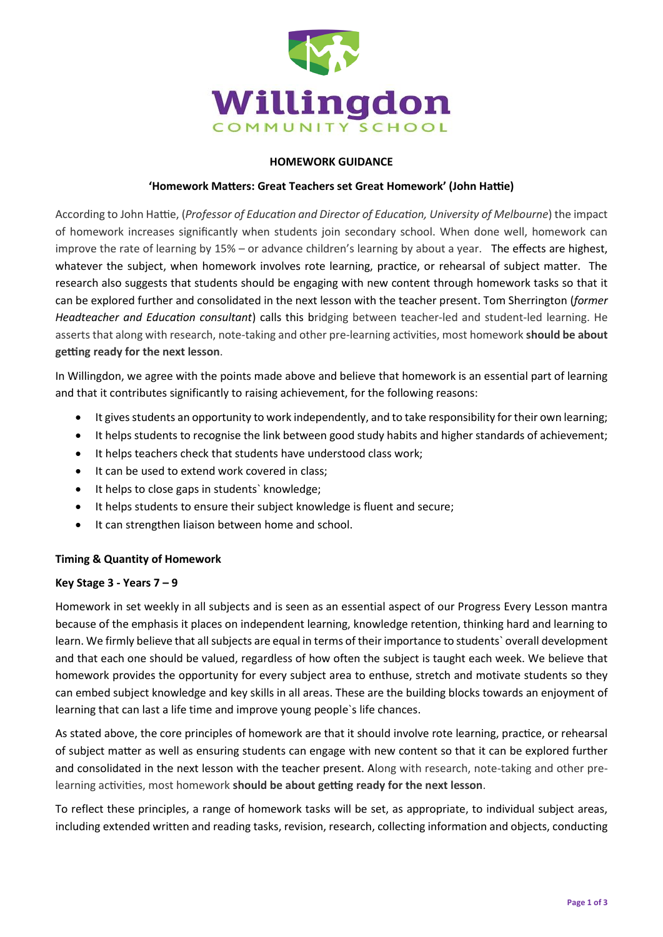

# **HOMEWORK GUIDANCE**

# **['Homework](http://headguruteacher.com/2012/09/02/homework-matters-great-teachers-set-great-homework/) Matters: Great Teachers set Great Homework' (John Hattie)**

According to John Hattie, (*Professor of Education and Director of Education, University of Melbourne*) the impact of homework increases significantly when students join secondary school. When done well, homework can improve the rate of learning by 15% – or advance children's learning by about a year. The effects are highest, whatever the subject, when homework involves rote learning, practice, or rehearsal of subject matter. The research also suggests that students should be engaging with new content through homework tasks so that it can be explored further and consolidated in the next lesson with the teacher present. Tom Sherrington (*former Headteacher and Education consultant*) calls this bridging between teacher-led and student-led learning. He asserts that along with research, note-taking and other pre-learning activities, most homework **should be about getting ready for the next lesson**.

In Willingdon, we agree with the points made above and believe that homework is an essential part of learning and that it contributes significantly to raising achievement, for the following reasons:

- It gives students an opportunity to work independently, and to take responsibility for their own learning;
- It helps students to recognise the link between good study habits and higher standards of achievement;
- It helps teachers check that students have understood class work;
- It can be used to extend work covered in class;
- It helps to close gaps in students' knowledge;
- It helps students to ensure their subject knowledge is fluent and secure;
- It can strengthen liaison between home and school.

# **Timing & Quantity of Homework**

#### **Key Stage 3 - Years 7 – 9**

Homework in set weekly in all subjects and is seen as an essential aspect of our Progress Every Lesson mantra because of the emphasis it places on independent learning, knowledge retention, thinking hard and learning to learn. We firmly believe that all subjects are equal in terms of their importance to students` overall development and that each one should be valued, regardless of how often the subject is taught each week. We believe that homework provides the opportunity for every subject area to enthuse, stretch and motivate students so they can embed subject knowledge and key skills in all areas. These are the building blocks towards an enjoyment of learning that can last a life time and improve young people`s life chances.

As stated above, the core principles of homework are that it should involve rote learning, practice, or rehearsal of subject matter as well as ensuring students can engage with new content so that it can be explored further and consolidated in the next lesson with the teacher present. Along with research, note-taking and other prelearning activities, most homework **should be about getting ready for the next lesson**.

To reflect these principles, a range of homework tasks will be set, as appropriate, to individual subject areas, including extended written and reading tasks, revision, research, collecting information and objects, conducting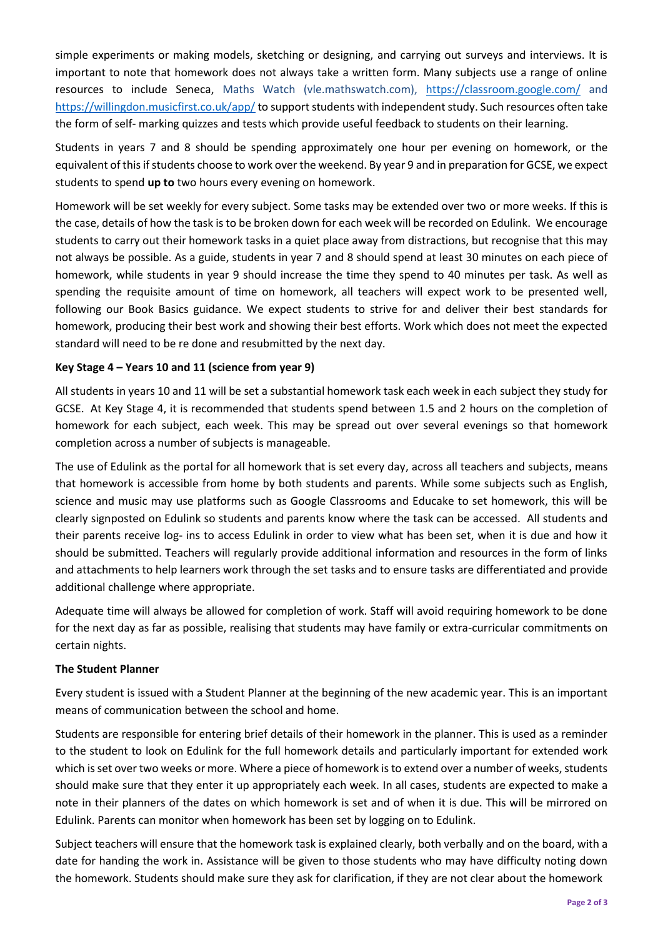simple experiments or making models, sketching or designing, and carrying out surveys and interviews. It is important to note that homework does not always take a written form. Many subjects use a range of online resources to include Seneca, Maths Watch (vle.mathswatch.com), <https://classroom.google.com/> and <https://willingdon.musicfirst.co.uk/app/> to support students with independent study. Such resources often take the form of self- marking quizzes and tests which provide useful feedback to students on their learning.

Students in years 7 and 8 should be spending approximately one hour per evening on homework, or the equivalent of this if students choose to work over the weekend. By year 9 and in preparation for GCSE, we expect students to spend **up to** two hours every evening on homework.

Homework will be set weekly for every subject. Some tasks may be extended over two or more weeks. If this is the case, details of how the task is to be broken down for each week will be recorded on Edulink. We encourage students to carry out their homework tasks in a quiet place away from distractions, but recognise that this may not always be possible. As a guide, students in year 7 and 8 should spend at least 30 minutes on each piece of homework, while students in year 9 should increase the time they spend to 40 minutes per task. As well as spending the requisite amount of time on homework, all teachers will expect work to be presented well, following our Book Basics guidance. We expect students to strive for and deliver their best standards for homework, producing their best work and showing their best efforts. Work which does not meet the expected standard will need to be re done and resubmitted by the next day.

# **Key Stage 4 – Years 10 and 11 (science from year 9)**

All students in years 10 and 11 will be set a substantial homework task each week in each subject they study for GCSE. At Key Stage 4, it is recommended that students spend between 1.5 and 2 hours on the completion of homework for each subject, each week. This may be spread out over several evenings so that homework completion across a number of subjects is manageable.

The use of Edulink as the portal for all homework that is set every day, across all teachers and subjects, means that homework is accessible from home by both students and parents. While some subjects such as English, science and music may use platforms such as Google Classrooms and Educake to set homework, this will be clearly signposted on Edulink so students and parents know where the task can be accessed. All students and their parents receive log- ins to access Edulink in order to view what has been set, when it is due and how it should be submitted. Teachers will regularly provide additional information and resources in the form of links and attachments to help learners work through the set tasks and to ensure tasks are differentiated and provide additional challenge where appropriate.

Adequate time will always be allowed for completion of work. Staff will avoid requiring homework to be done for the next day as far as possible, realising that students may have family or extra-curricular commitments on certain nights.

#### **The Student Planner**

Every student is issued with a Student Planner at the beginning of the new academic year. This is an important means of communication between the school and home.

Students are responsible for entering brief details of their homework in the planner. This is used as a reminder to the student to look on Edulink for the full homework details and particularly important for extended work which is set over two weeks or more. Where a piece of homework is to extend over a number of weeks, students should make sure that they enter it up appropriately each week. In all cases, students are expected to make a note in their planners of the dates on which homework is set and of when it is due. This will be mirrored on Edulink. Parents can monitor when homework has been set by logging on to Edulink.

Subject teachers will ensure that the homework task is explained clearly, both verbally and on the board, with a date for handing the work in. Assistance will be given to those students who may have difficulty noting down the homework. Students should make sure they ask for clarification, if they are not clear about the homework